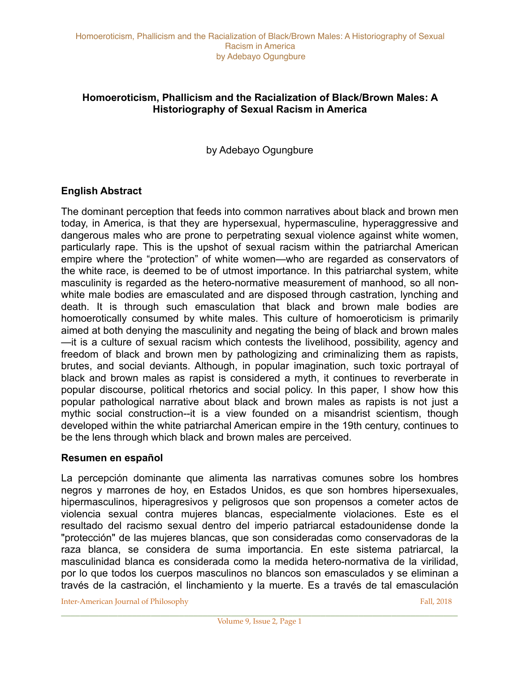# **Homoeroticism, Phallicism and the Racialization of Black/Brown Males: A Historiography of Sexual Racism in America**

by Adebayo Ogungbure

# **English Abstract**

The dominant perception that feeds into common narratives about black and brown men today, in America, is that they are hypersexual, hypermasculine, hyperaggressive and dangerous males who are prone to perpetrating sexual violence against white women, particularly rape. This is the upshot of sexual racism within the patriarchal American empire where the "protection" of white women—who are regarded as conservators of the white race, is deemed to be of utmost importance. In this patriarchal system, white masculinity is regarded as the hetero-normative measurement of manhood, so all nonwhite male bodies are emasculated and are disposed through castration, lynching and death. It is through such emasculation that black and brown male bodies are homoerotically consumed by white males. This culture of homoeroticism is primarily aimed at both denying the masculinity and negating the being of black and brown males —it is a culture of sexual racism which contests the livelihood, possibility, agency and freedom of black and brown men by pathologizing and criminalizing them as rapists, brutes, and social deviants. Although, in popular imagination, such toxic portrayal of black and brown males as rapist is considered a myth, it continues to reverberate in popular discourse, political rhetorics and social policy. In this paper, I show how this popular pathological narrative about black and brown males as rapists is not just a mythic social construction--it is a view founded on a misandrist scientism, though developed within the white patriarchal American empire in the 19th century, continues to be the lens through which black and brown males are perceived.

### **Resumen en español**

La percepción dominante que alimenta las narrativas comunes sobre los hombres negros y marrones de hoy, en Estados Unidos, es que son hombres hipersexuales, hipermasculinos, hiperagresivos y peligrosos que son propensos a cometer actos de violencia sexual contra mujeres blancas, especialmente violaciones. Este es el resultado del racismo sexual dentro del imperio patriarcal estadounidense donde la "protección" de las mujeres blancas, que son consideradas como conservadoras de la raza blanca, se considera de suma importancia. En este sistema patriarcal, la masculinidad blanca es considerada como la medida hetero-normativa de la virilidad, por lo que todos los cuerpos masculinos no blancos son emasculados y se eliminan a través de la castración, el linchamiento y la muerte. Es a través de tal emasculación

**Inter-American Journal of Philosophy Fall, 2018** Fall, 2018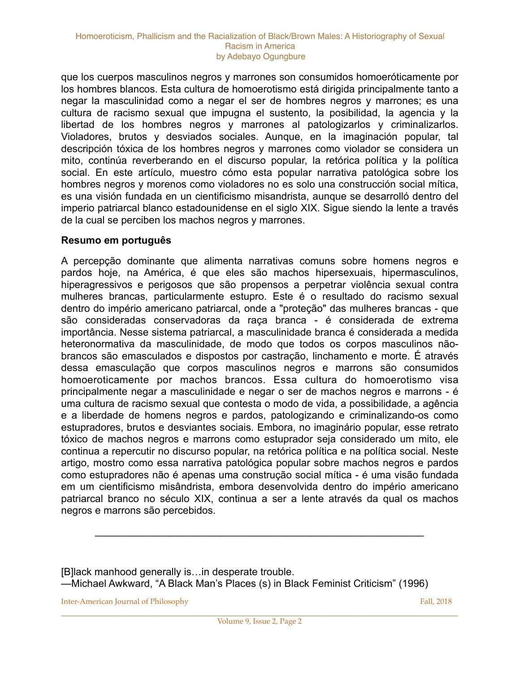que los cuerpos masculinos negros y marrones son consumidos homoeróticamente por los hombres blancos. Esta cultura de homoerotismo está dirigida principalmente tanto a negar la masculinidad como a negar el ser de hombres negros y marrones; es una cultura de racismo sexual que impugna el sustento, la posibilidad, la agencia y la libertad de los hombres negros y marrones al patologizarlos y criminalizarlos. Violadores, brutos y desviados sociales. Aunque, en la imaginación popular, tal descripción tóxica de los hombres negros y marrones como violador se considera un mito, continúa reverberando en el discurso popular, la retórica política y la política social. En este artículo, muestro cómo esta popular narrativa patológica sobre los hombres negros y morenos como violadores no es solo una construcción social mítica, es una visión fundada en un cientificismo misandrista, aunque se desarrolló dentro del imperio patriarcal blanco estadounidense en el siglo XIX. Sigue siendo la lente a través de la cual se perciben los machos negros y marrones.

### **Resumo em português**

A percepção dominante que alimenta narrativas comuns sobre homens negros e pardos hoje, na América, é que eles são machos hipersexuais, hipermasculinos, hiperagressivos e perigosos que são propensos a perpetrar violência sexual contra mulheres brancas, particularmente estupro. Este é o resultado do racismo sexual dentro do império americano patriarcal, onde a "proteção" das mulheres brancas - que são consideradas conservadoras da raça branca - é considerada de extrema importância. Nesse sistema patriarcal, a masculinidade branca é considerada a medida heteronormativa da masculinidade, de modo que todos os corpos masculinos nãobrancos são emasculados e dispostos por castração, linchamento e morte. É através dessa emasculação que corpos masculinos negros e marrons são consumidos homoeroticamente por machos brancos. Essa cultura do homoerotismo visa principalmente negar a masculinidade e negar o ser de machos negros e marrons - é uma cultura de racismo sexual que contesta o modo de vida, a possibilidade, a agência e a liberdade de homens negros e pardos, patologizando e criminalizando-os como estupradores, brutos e desviantes sociais. Embora, no imaginário popular, esse retrato tóxico de machos negros e marrons como estuprador seja considerado um mito, ele continua a repercutir no discurso popular, na retórica política e na política social. Neste artigo, mostro como essa narrativa patológica popular sobre machos negros e pardos como estupradores não é apenas uma construção social mítica - é uma visão fundada em um cientificismo misândrista, embora desenvolvida dentro do império americano patriarcal branco no século XIX, continua a ser a lente através da qual os machos negros e marrons são percebidos.

[B]lack manhood generally is…in desperate trouble. —Michael Awkward, "A Black Man's Places (s) in Black Feminist Criticism" (1996)

**Inter-American Journal of Philosophy Fall, 2018** Fall, 2018

\_\_\_\_\_\_\_\_\_\_\_\_\_\_\_\_\_\_\_\_\_\_\_\_\_\_\_\_\_\_\_\_\_\_\_\_\_\_\_\_\_\_\_\_\_\_\_\_\_\_\_\_\_\_\_\_\_\_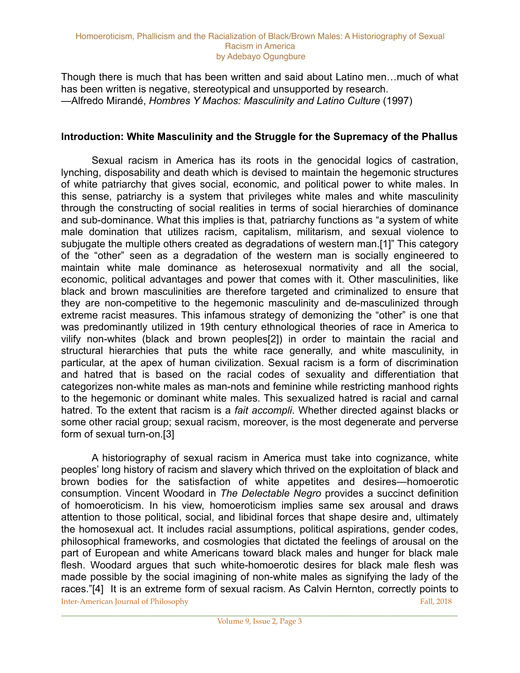Though there is much that has been written and said about Latino men…much of what has been written is negative, stereotypical and unsupported by research. —Alfredo Mirandé, *Hombres Y Machos: Masculinity and Latino Culture* (1997)

## **Introduction: White Masculinity and the Struggle for the Supremacy of the Phallus**

 Sexual racism in America has its roots in the genocidal logics of castration, lynching, disposability and death which is devised to maintain the hegemonic structures of white patriarchy that gives social, economic, and political power to white males. In this sense, patriarchy is a system that privileges white males and white masculinity through the constructing of social realities in terms of social hierarchies of dominance and sub-dominance. What this implies is that, patriarchy functions as "a system of white male domination that utilizes racism, capitalism, militarism, and sexual violence to subjugate the multiple others created as degradations of western man.[1]" This category of the "other" seen as a degradation of the western man is socially engineered to maintain white male dominance as heterosexual normativity and all the social, economic, political advantages and power that comes with it. Other masculinities, like black and brown masculinities are therefore targeted and criminalized to ensure that they are non-competitive to the hegemonic masculinity and de-masculinized through extreme racist measures. This infamous strategy of demonizing the "other" is one that was predominantly utilized in 19th century ethnological theories of race in America to vilify non-whites (black and brown peoples[2]) in order to maintain the racial and structural hierarchies that puts the white race generally, and white masculinity, in particular, at the apex of human civilization. Sexual racism is a form of discrimination and hatred that is based on the racial codes of sexuality and differentiation that categorizes non-white males as man-nots and feminine while restricting manhood rights to the hegemonic or dominant white males. This sexualized hatred is racial and carnal hatred. To the extent that racism is a *fait accompli*. Whether directed against blacks or some other racial group; sexual racism, moreover, is the most degenerate and perverse form of sexual turn-on.[3]

 A historiography of sexual racism in America must take into cognizance, white peoples' long history of racism and slavery which thrived on the exploitation of black and brown bodies for the satisfaction of white appetites and desires—homoerotic consumption. Vincent Woodard in *The Delectable Negro* provides a succinct definition of homoeroticism. In his view, homoeroticism implies same sex arousal and draws attention to those political, social, and libidinal forces that shape desire and, ultimately the homosexual act. It includes racial assumptions, political aspirations, gender codes, philosophical frameworks, and cosmologies that dictated the feelings of arousal on the part of European and white Americans toward black males and hunger for black male flesh. Woodard argues that such white-homoerotic desires for black male flesh was made possible by the social imagining of non-white males as signifying the lady of the races."[4] It is an extreme form of sexual racism. As Calvin Hernton, correctly points to **Inter-American Journal of Philosophy** Fall, 2018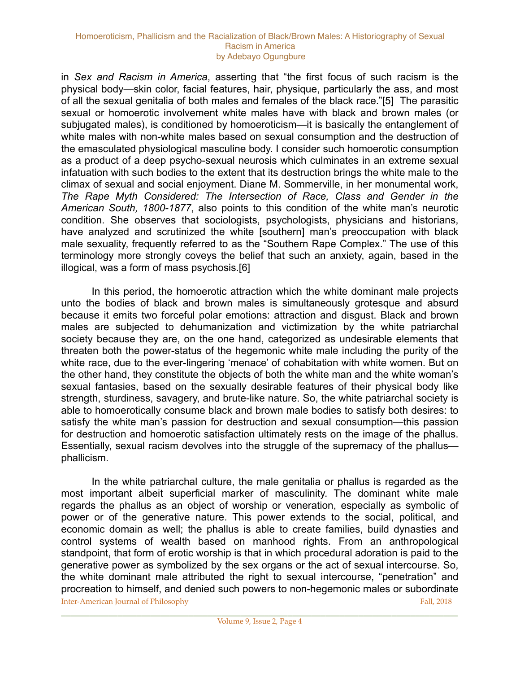in *Sex and Racism in America*, asserting that "the first focus of such racism is the physical body—skin color, facial features, hair, physique, particularly the ass, and most of all the sexual genitalia of both males and females of the black race."[5] The parasitic sexual or homoerotic involvement white males have with black and brown males (or subjugated males), is conditioned by homoeroticism—it is basically the entanglement of white males with non-white males based on sexual consumption and the destruction of the emasculated physiological masculine body. I consider such homoerotic consumption as a product of a deep psycho-sexual neurosis which culminates in an extreme sexual infatuation with such bodies to the extent that its destruction brings the white male to the climax of sexual and social enjoyment. Diane M. Sommerville, in her monumental work, *The Rape Myth Considered: The Intersection of Race, Class and Gender in the American South, 1800-1877*, also points to this condition of the white man's neurotic condition. She observes that sociologists, psychologists, physicians and historians, have analyzed and scrutinized the white [southern] man's preoccupation with black male sexuality, frequently referred to as the "Southern Rape Complex." The use of this terminology more strongly coveys the belief that such an anxiety, again, based in the illogical, was a form of mass psychosis.[6]

 In this period, the homoerotic attraction which the white dominant male projects unto the bodies of black and brown males is simultaneously grotesque and absurd because it emits two forceful polar emotions: attraction and disgust. Black and brown males are subjected to dehumanization and victimization by the white patriarchal society because they are, on the one hand, categorized as undesirable elements that threaten both the power-status of the hegemonic white male including the purity of the white race, due to the ever-lingering 'menace' of cohabitation with white women. But on the other hand, they constitute the objects of both the white man and the white woman's sexual fantasies, based on the sexually desirable features of their physical body like strength, sturdiness, savagery, and brute-like nature. So, the white patriarchal society is able to homoerotically consume black and brown male bodies to satisfy both desires: to satisfy the white man's passion for destruction and sexual consumption—this passion for destruction and homoerotic satisfaction ultimately rests on the image of the phallus. Essentially, sexual racism devolves into the struggle of the supremacy of the phallus phallicism.

 In the white patriarchal culture, the male genitalia or phallus is regarded as the most important albeit superficial marker of masculinity. The dominant white male regards the phallus as an object of worship or veneration, especially as symbolic of power or of the generative nature. This power extends to the social, political, and economic domain as well; the phallus is able to create families, build dynasties and control systems of wealth based on manhood rights. From an anthropological standpoint, that form of erotic worship is that in which procedural adoration is paid to the generative power as symbolized by the sex organs or the act of sexual intercourse. So, the white dominant male attributed the right to sexual intercourse, "penetration" and procreation to himself, and denied such powers to non-hegemonic males or subordinate **Inter-American Journal of Philosophy Fall, 2018** Fall, 2018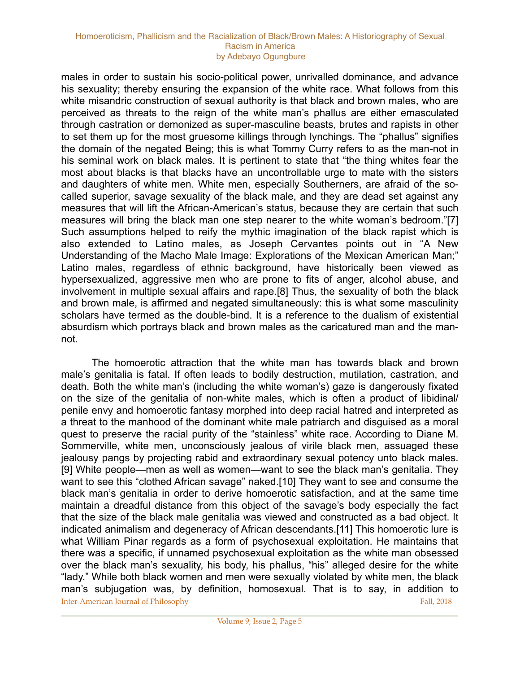males in order to sustain his socio-political power, unrivalled dominance, and advance his sexuality; thereby ensuring the expansion of the white race. What follows from this white misandric construction of sexual authority is that black and brown males, who are perceived as threats to the reign of the white man's phallus are either emasculated through castration or demonized as super-masculine beasts, brutes and rapists in other to set them up for the most gruesome killings through lynchings. The "phallus" signifies the domain of the negated Being; this is what Tommy Curry refers to as the man-not in his seminal work on black males. It is pertinent to state that "the thing whites fear the most about blacks is that blacks have an uncontrollable urge to mate with the sisters and daughters of white men. White men, especially Southerners, are afraid of the socalled superior, savage sexuality of the black male, and they are dead set against any measures that will lift the African-American's status, because they are certain that such measures will bring the black man one step nearer to the white woman's bedroom."[7] Such assumptions helped to reify the mythic imagination of the black rapist which is also extended to Latino males, as Joseph Cervantes points out in "A New Understanding of the Macho Male Image: Explorations of the Mexican American Man;" Latino males, regardless of ethnic background, have historically been viewed as hypersexualized, aggressive men who are prone to fits of anger, alcohol abuse, and involvement in multiple sexual affairs and rape.[8] Thus, the sexuality of both the black and brown male, is affirmed and negated simultaneously: this is what some masculinity scholars have termed as the double-bind. It is a reference to the dualism of existential absurdism which portrays black and brown males as the caricatured man and the mannot.

 The homoerotic attraction that the white man has towards black and brown male's genitalia is fatal. If often leads to bodily destruction, mutilation, castration, and death. Both the white man's (including the white woman's) gaze is dangerously fixated on the size of the genitalia of non-white males, which is often a product of libidinal/ penile envy and homoerotic fantasy morphed into deep racial hatred and interpreted as a threat to the manhood of the dominant white male patriarch and disguised as a moral quest to preserve the racial purity of the "stainless" white race. According to Diane M. Sommerville, white men, unconsciously jealous of virile black men, assuaged these jealousy pangs by projecting rabid and extraordinary sexual potency unto black males. [9] White people—men as well as women—want to see the black man's genitalia. They want to see this "clothed African savage" naked.[10] They want to see and consume the black man's genitalia in order to derive homoerotic satisfaction, and at the same time maintain a dreadful distance from this object of the savage's body especially the fact that the size of the black male genitalia was viewed and constructed as a bad object. It indicated animalism and degeneracy of African descendants.[11] This homoerotic lure is what William Pinar regards as a form of psychosexual exploitation. He maintains that there was a specific, if unnamed psychosexual exploitation as the white man obsessed over the black man's sexuality, his body, his phallus, "his" alleged desire for the white "lady." While both black women and men were sexually violated by white men, the black man's subjugation was, by definition, homosexual. That is to say, in addition to Inter-American Journal of Philosophy Fall, 2018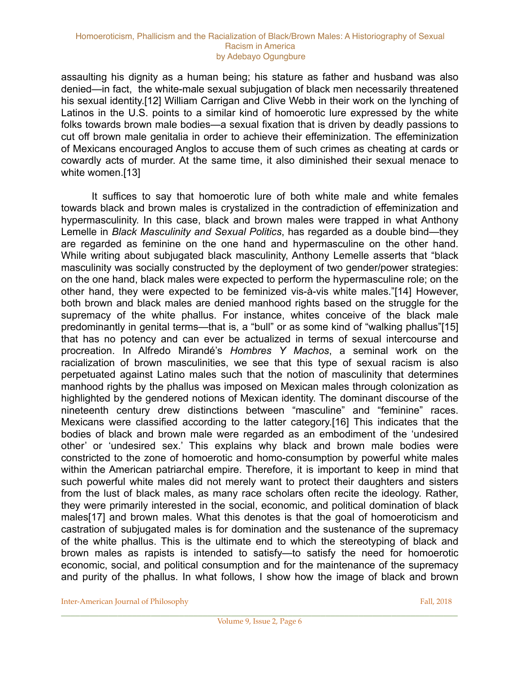assaulting his dignity as a human being; his stature as father and husband was also denied—in fact, the white-male sexual subjugation of black men necessarily threatened his sexual identity.[12] William Carrigan and Clive Webb in their work on the lynching of Latinos in the U.S. points to a similar kind of homoerotic lure expressed by the white folks towards brown male bodies—a sexual fixation that is driven by deadly passions to cut off brown male genitalia in order to achieve their effeminization. The effeminization of Mexicans encouraged Anglos to accuse them of such crimes as cheating at cards or cowardly acts of murder. At the same time, it also diminished their sexual menace to white women.[13]

 It suffices to say that homoerotic lure of both white male and white females towards black and brown males is crystalized in the contradiction of effeminization and hypermasculinity. In this case, black and brown males were trapped in what Anthony Lemelle in *Black Masculinity and Sexual Politics*, has regarded as a double bind—they are regarded as feminine on the one hand and hypermasculine on the other hand. While writing about subjugated black masculinity, Anthony Lemelle asserts that "black masculinity was socially constructed by the deployment of two gender/power strategies: on the one hand, black males were expected to perform the hypermasculine role; on the other hand, they were expected to be feminized vis-à-vis white males."[14] However, both brown and black males are denied manhood rights based on the struggle for the supremacy of the white phallus. For instance, whites conceive of the black male predominantly in genital terms—that is, a "bull" or as some kind of "walking phallus"[15] that has no potency and can ever be actualized in terms of sexual intercourse and procreation. In Alfredo Mirandé's *Hombres Y Machos*, a seminal work on the racialization of brown masculinities, we see that this type of sexual racism is also perpetuated against Latino males such that the notion of masculinity that determines manhood rights by the phallus was imposed on Mexican males through colonization as highlighted by the gendered notions of Mexican identity. The dominant discourse of the nineteenth century drew distinctions between "masculine" and "feminine" races. Mexicans were classified according to the latter category.[16] This indicates that the bodies of black and brown male were regarded as an embodiment of the 'undesired other' or 'undesired sex.' This explains why black and brown male bodies were constricted to the zone of homoerotic and homo-consumption by powerful white males within the American patriarchal empire. Therefore, it is important to keep in mind that such powerful white males did not merely want to protect their daughters and sisters from the lust of black males, as many race scholars often recite the ideology. Rather, they were primarily interested in the social, economic, and political domination of black males[17] and brown males. What this denotes is that the goal of homoeroticism and castration of subjugated males is for domination and the sustenance of the supremacy of the white phallus. This is the ultimate end to which the stereotyping of black and brown males as rapists is intended to satisfy—to satisfy the need for homoerotic economic, social, and political consumption and for the maintenance of the supremacy and purity of the phallus. In what follows, I show how the image of black and brown

**Inter-American Journal of Philosophy** Fall, 2018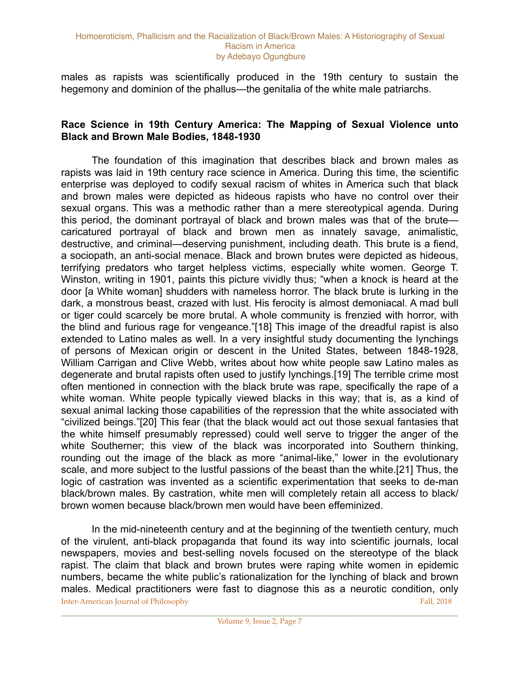males as rapists was scientifically produced in the 19th century to sustain the hegemony and dominion of the phallus—the genitalia of the white male patriarchs.

### **Race Science in 19th Century America: The Mapping of Sexual Violence unto Black and Brown Male Bodies, 1848-1930**

 The foundation of this imagination that describes black and brown males as rapists was laid in 19th century race science in America. During this time, the scientific enterprise was deployed to codify sexual racism of whites in America such that black and brown males were depicted as hideous rapists who have no control over their sexual organs. This was a methodic rather than a mere stereotypical agenda. During this period, the dominant portrayal of black and brown males was that of the brute caricatured portrayal of black and brown men as innately savage, animalistic, destructive, and criminal—deserving punishment, including death. This brute is a fiend, a sociopath, an anti-social menace. Black and brown brutes were depicted as hideous, terrifying predators who target helpless victims, especially white women. George T. Winston, writing in 1901, paints this picture vividly thus; "when a knock is heard at the door [a White woman] shudders with nameless horror. The black brute is lurking in the dark, a monstrous beast, crazed with lust. His ferocity is almost demoniacal. A mad bull or tiger could scarcely be more brutal. A whole community is frenzied with horror, with the blind and furious rage for vengeance."[18] This image of the dreadful rapist is also extended to Latino males as well. In a very insightful study documenting the lynchings of persons of Mexican origin or descent in the United States, between 1848-1928, William Carrigan and Clive Webb, writes about how white people saw Latino males as degenerate and brutal rapists often used to justify lynchings.[19] The terrible crime most often mentioned in connection with the black brute was rape, specifically the rape of a white woman. White people typically viewed blacks in this way; that is, as a kind of sexual animal lacking those capabilities of the repression that the white associated with "civilized beings."[20] This fear (that the black would act out those sexual fantasies that the white himself presumably repressed) could well serve to trigger the anger of the white Southerner; this view of the black was incorporated into Southern thinking, rounding out the image of the black as more "animal-like," lower in the evolutionary scale, and more subject to the lustful passions of the beast than the white.[21] Thus, the logic of castration was invented as a scientific experimentation that seeks to de-man black/brown males. By castration, white men will completely retain all access to black/ brown women because black/brown men would have been effeminized.

 In the mid-nineteenth century and at the beginning of the twentieth century, much of the virulent, anti-black propaganda that found its way into scientific journals, local newspapers, movies and best-selling novels focused on the stereotype of the black rapist. The claim that black and brown brutes were raping white women in epidemic numbers, became the white public's rationalization for the lynching of black and brown males. Medical practitioners were fast to diagnose this as a neurotic condition, only Inter-American Journal of Philosophy Fall, 2018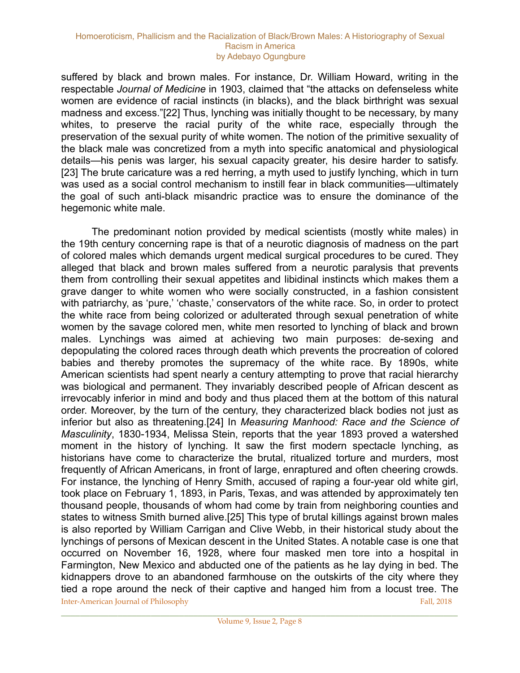suffered by black and brown males. For instance, Dr. William Howard, writing in the respectable *Journal of Medicine* in 1903, claimed that "the attacks on defenseless white women are evidence of racial instincts (in blacks), and the black birthright was sexual madness and excess."[22] Thus, lynching was initially thought to be necessary, by many whites, to preserve the racial purity of the white race, especially through the preservation of the sexual purity of white women. The notion of the primitive sexuality of the black male was concretized from a myth into specific anatomical and physiological details—his penis was larger, his sexual capacity greater, his desire harder to satisfy. [23] The brute caricature was a red herring, a myth used to justify lynching, which in turn was used as a social control mechanism to instill fear in black communities—ultimately the goal of such anti-black misandric practice was to ensure the dominance of the hegemonic white male.

 The predominant notion provided by medical scientists (mostly white males) in the 19th century concerning rape is that of a neurotic diagnosis of madness on the part of colored males which demands urgent medical surgical procedures to be cured. They alleged that black and brown males suffered from a neurotic paralysis that prevents them from controlling their sexual appetites and libidinal instincts which makes them a grave danger to white women who were socially constructed, in a fashion consistent with patriarchy, as 'pure,' 'chaste,' conservators of the white race. So, in order to protect the white race from being colorized or adulterated through sexual penetration of white women by the savage colored men, white men resorted to lynching of black and brown males. Lynchings was aimed at achieving two main purposes: de-sexing and depopulating the colored races through death which prevents the procreation of colored babies and thereby promotes the supremacy of the white race. By 1890s, white American scientists had spent nearly a century attempting to prove that racial hierarchy was biological and permanent. They invariably described people of African descent as irrevocably inferior in mind and body and thus placed them at the bottom of this natural order. Moreover, by the turn of the century, they characterized black bodies not just as inferior but also as threatening.[24] In *Measuring Manhood: Race and the Science of Masculinity*, 1830-1934, Melissa Stein, reports that the year 1893 proved a watershed moment in the history of lynching. It saw the first modern spectacle lynching, as historians have come to characterize the brutal, ritualized torture and murders, most frequently of African Americans, in front of large, enraptured and often cheering crowds. For instance, the lynching of Henry Smith, accused of raping a four-year old white girl, took place on February 1, 1893, in Paris, Texas, and was attended by approximately ten thousand people, thousands of whom had come by train from neighboring counties and states to witness Smith burned alive.[25] This type of brutal killings against brown males is also reported by William Carrigan and Clive Webb, in their historical study about the lynchings of persons of Mexican descent in the United States. A notable case is one that occurred on November 16, 1928, where four masked men tore into a hospital in Farmington, New Mexico and abducted one of the patients as he lay dying in bed. The kidnappers drove to an abandoned farmhouse on the outskirts of the city where they tied a rope around the neck of their captive and hanged him from a locust tree. The **Inter-American Journal of Philosophy Fall, 2018** Fall, 2018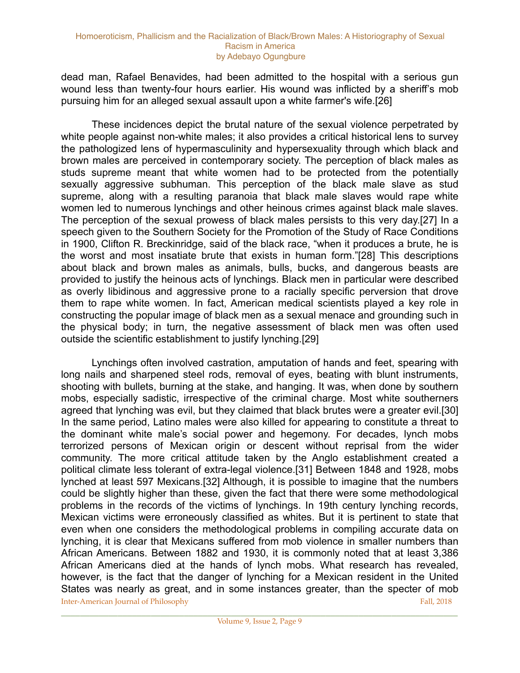dead man, Rafael Benavides, had been admitted to the hospital with a serious gun wound less than twenty-four hours earlier. His wound was inflicted by a sheriff's mob pursuing him for an alleged sexual assault upon a white farmer's wife.[26]

 These incidences depict the brutal nature of the sexual violence perpetrated by white people against non-white males; it also provides a critical historical lens to survey the pathologized lens of hypermasculinity and hypersexuality through which black and brown males are perceived in contemporary society. The perception of black males as studs supreme meant that white women had to be protected from the potentially sexually aggressive subhuman. This perception of the black male slave as stud supreme, along with a resulting paranoia that black male slaves would rape white women led to numerous lynchings and other heinous crimes against black male slaves. The perception of the sexual prowess of black males persists to this very day.[27] In a speech given to the Southern Society for the Promotion of the Study of Race Conditions in 1900, Clifton R. Breckinridge, said of the black race, "when it produces a brute, he is the worst and most insatiate brute that exists in human form."[28] This descriptions about black and brown males as animals, bulls, bucks, and dangerous beasts are provided to justify the heinous acts of lynchings. Black men in particular were described as overly libidinous and aggressive prone to a racially specific perversion that drove them to rape white women. In fact, American medical scientists played a key role in constructing the popular image of black men as a sexual menace and grounding such in the physical body; in turn, the negative assessment of black men was often used outside the scientific establishment to justify lynching.[29]

 Lynchings often involved castration, amputation of hands and feet, spearing with long nails and sharpened steel rods, removal of eyes, beating with blunt instruments, shooting with bullets, burning at the stake, and hanging. It was, when done by southern mobs, especially sadistic, irrespective of the criminal charge. Most white southerners agreed that lynching was evil, but they claimed that black brutes were a greater evil.[30] In the same period, Latino males were also killed for appearing to constitute a threat to the dominant white male's social power and hegemony. For decades, lynch mobs terrorized persons of Mexican origin or descent without reprisal from the wider community. The more critical attitude taken by the Anglo establishment created a political climate less tolerant of extra-legal violence.[31] Between 1848 and 1928, mobs lynched at least 597 Mexicans.[32] Although, it is possible to imagine that the numbers could be slightly higher than these, given the fact that there were some methodological problems in the records of the victims of lynchings. In 19th century lynching records, Mexican victims were erroneously classified as whites. But it is pertinent to state that even when one considers the methodological problems in compiling accurate data on lynching, it is clear that Mexicans suffered from mob violence in smaller numbers than African Americans. Between 1882 and 1930, it is commonly noted that at least 3,386 African Americans died at the hands of lynch mobs. What research has revealed, however, is the fact that the danger of lynching for a Mexican resident in the United States was nearly as great, and in some instances greater, than the specter of mob **Inter-American Journal of Philosophy Fall, 2018** Fall, 2018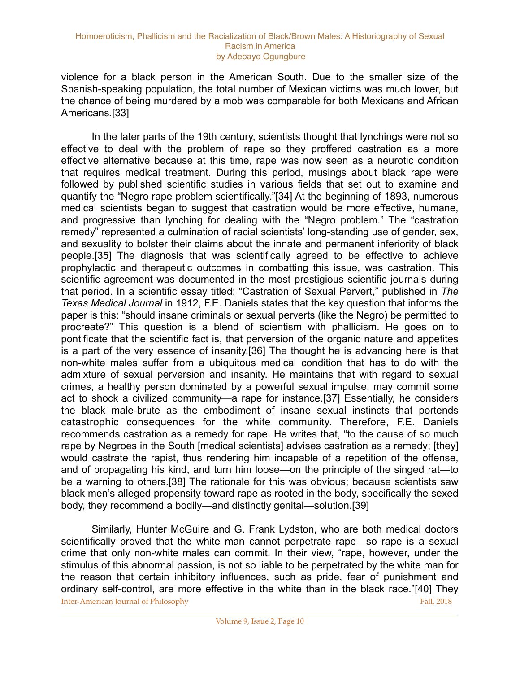violence for a black person in the American South. Due to the smaller size of the Spanish-speaking population, the total number of Mexican victims was much lower, but the chance of being murdered by a mob was comparable for both Mexicans and African Americans.[33]

 In the later parts of the 19th century, scientists thought that lynchings were not so effective to deal with the problem of rape so they proffered castration as a more effective alternative because at this time, rape was now seen as a neurotic condition that requires medical treatment. During this period, musings about black rape were followed by published scientific studies in various fields that set out to examine and quantify the "Negro rape problem scientifically."[34] At the beginning of 1893, numerous medical scientists began to suggest that castration would be more effective, humane, and progressive than lynching for dealing with the "Negro problem." The "castration remedy" represented a culmination of racial scientists' long-standing use of gender, sex, and sexuality to bolster their claims about the innate and permanent inferiority of black people.[35] The diagnosis that was scientifically agreed to be effective to achieve prophylactic and therapeutic outcomes in combatting this issue, was castration. This scientific agreement was documented in the most prestigious scientific journals during that period. In a scientific essay titled: "Castration of Sexual Pervert," published in *The Texas Medical Journal* in 1912, F.E. Daniels states that the key question that informs the paper is this: "should insane criminals or sexual perverts (like the Negro) be permitted to procreate?" This question is a blend of scientism with phallicism. He goes on to pontificate that the scientific fact is, that perversion of the organic nature and appetites is a part of the very essence of insanity.[36] The thought he is advancing here is that non-white males suffer from a ubiquitous medical condition that has to do with the admixture of sexual perversion and insanity. He maintains that with regard to sexual crimes, a healthy person dominated by a powerful sexual impulse, may commit some act to shock a civilized community—a rape for instance.[37] Essentially, he considers the black male-brute as the embodiment of insane sexual instincts that portends catastrophic consequences for the white community. Therefore, F.E. Daniels recommends castration as a remedy for rape. He writes that, "to the cause of so much rape by Negroes in the South [medical scientists] advises castration as a remedy; [they] would castrate the rapist, thus rendering him incapable of a repetition of the offense, and of propagating his kind, and turn him loose—on the principle of the singed rat—to be a warning to others.[38] The rationale for this was obvious; because scientists saw black men's alleged propensity toward rape as rooted in the body, specifically the sexed body, they recommend a bodily—and distinctly genital—solution.[39]

 Similarly, Hunter McGuire and G. Frank Lydston, who are both medical doctors scientifically proved that the white man cannot perpetrate rape—so rape is a sexual crime that only non-white males can commit. In their view, "rape, however, under the stimulus of this abnormal passion, is not so liable to be perpetrated by the white man for the reason that certain inhibitory influences, such as pride, fear of punishment and ordinary self-control, are more effective in the white than in the black race."[40] They **Inter-American Journal of Philosophy Fall, 2018** Fall, 2018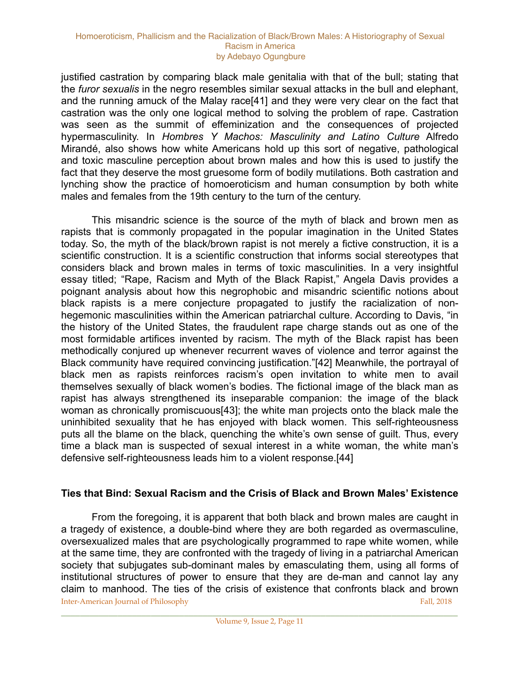justified castration by comparing black male genitalia with that of the bull; stating that the *furor sexualis* in the negro resembles similar sexual attacks in the bull and elephant, and the running amuck of the Malay race[41] and they were very clear on the fact that castration was the only one logical method to solving the problem of rape. Castration was seen as the summit of effeminization and the consequences of projected hypermasculinity. In *Hombres Y Machos: Masculinity and Latino Culture* Alfredo Mirandé, also shows how white Americans hold up this sort of negative, pathological and toxic masculine perception about brown males and how this is used to justify the fact that they deserve the most gruesome form of bodily mutilations. Both castration and lynching show the practice of homoeroticism and human consumption by both white males and females from the 19th century to the turn of the century.

 This misandric science is the source of the myth of black and brown men as rapists that is commonly propagated in the popular imagination in the United States today. So, the myth of the black/brown rapist is not merely a fictive construction, it is a scientific construction. It is a scientific construction that informs social stereotypes that considers black and brown males in terms of toxic masculinities. In a very insightful essay titled; "Rape, Racism and Myth of the Black Rapist," Angela Davis provides a poignant analysis about how this negrophobic and misandric scientific notions about black rapists is a mere conjecture propagated to justify the racialization of nonhegemonic masculinities within the American patriarchal culture. According to Davis, "in the history of the United States, the fraudulent rape charge stands out as one of the most formidable artifices invented by racism. The myth of the Black rapist has been methodically conjured up whenever recurrent waves of violence and terror against the Black community have required convincing justification."[42] Meanwhile, the portrayal of black men as rapists reinforces racism's open invitation to white men to avail themselves sexually of black women's bodies. The fictional image of the black man as rapist has always strengthened its inseparable companion: the image of the black woman as chronically promiscuous[43]; the white man projects onto the black male the uninhibited sexuality that he has enjoyed with black women. This self-righteousness puts all the blame on the black, quenching the white's own sense of guilt. Thus, every time a black man is suspected of sexual interest in a white woman, the white man's defensive self-righteousness leads him to a violent response.[44]

### **Ties that Bind: Sexual Racism and the Crisis of Black and Brown Males' Existence**

 From the foregoing, it is apparent that both black and brown males are caught in a tragedy of existence, a double-bind where they are both regarded as overmasculine, oversexualized males that are psychologically programmed to rape white women, while at the same time, they are confronted with the tragedy of living in a patriarchal American society that subjugates sub-dominant males by emasculating them, using all forms of institutional structures of power to ensure that they are de-man and cannot lay any claim to manhood. The ties of the crisis of existence that confronts black and brown Inter-American Journal of Philosophy Fall, 2018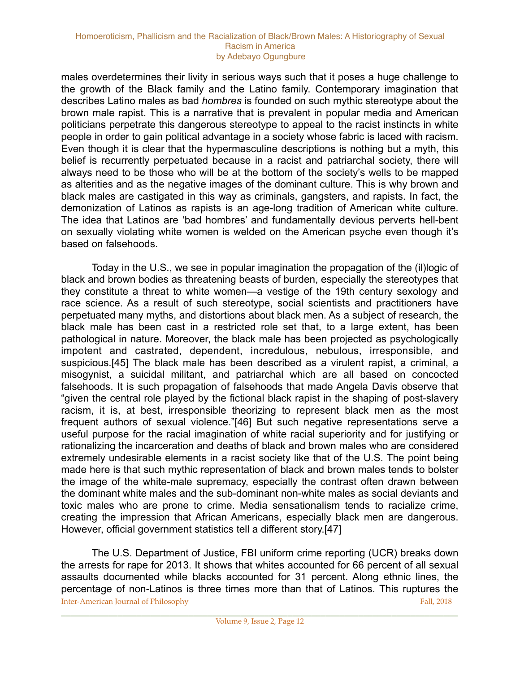males overdetermines their livity in serious ways such that it poses a huge challenge to the growth of the Black family and the Latino family. Contemporary imagination that describes Latino males as bad *hombres* is founded on such mythic stereotype about the brown male rapist. This is a narrative that is prevalent in popular media and American politicians perpetrate this dangerous stereotype to appeal to the racist instincts in white people in order to gain political advantage in a society whose fabric is laced with racism. Even though it is clear that the hypermasculine descriptions is nothing but a myth, this belief is recurrently perpetuated because in a racist and patriarchal society, there will always need to be those who will be at the bottom of the society's wells to be mapped as alterities and as the negative images of the dominant culture. This is why brown and black males are castigated in this way as criminals, gangsters, and rapists. In fact, the demonization of Latinos as rapists is an age-long tradition of American white culture. The idea that Latinos are 'bad hombres' and fundamentally devious perverts hell-bent on sexually violating white women is welded on the American psyche even though it's based on falsehoods.

 Today in the U.S., we see in popular imagination the propagation of the (il)logic of black and brown bodies as threatening beasts of burden, especially the stereotypes that they constitute a threat to white women—a vestige of the 19th century sexology and race science. As a result of such stereotype, social scientists and practitioners have perpetuated many myths, and distortions about black men. As a subject of research, the black male has been cast in a restricted role set that, to a large extent, has been pathological in nature. Moreover, the black male has been projected as psychologically impotent and castrated, dependent, incredulous, nebulous, irresponsible, and suspicious.[45] The black male has been described as a virulent rapist, a criminal, a misogynist, a suicidal militant, and patriarchal which are all based on concocted falsehoods. It is such propagation of falsehoods that made Angela Davis observe that "given the central role played by the fictional black rapist in the shaping of post-slavery racism, it is, at best, irresponsible theorizing to represent black men as the most frequent authors of sexual violence."[46] But such negative representations serve a useful purpose for the racial imagination of white racial superiority and for justifying or rationalizing the incarceration and deaths of black and brown males who are considered extremely undesirable elements in a racist society like that of the U.S. The point being made here is that such mythic representation of black and brown males tends to bolster the image of the white-male supremacy, especially the contrast often drawn between the dominant white males and the sub-dominant non-white males as social deviants and toxic males who are prone to crime. Media sensationalism tends to racialize crime, creating the impression that African Americans, especially black men are dangerous. However, official government statistics tell a different story.[47]

 The U.S. Department of Justice, FBI uniform crime reporting (UCR) breaks down the arrests for rape for 2013. It shows that whites accounted for 66 percent of all sexual assaults documented while blacks accounted for 31 percent. Along ethnic lines, the percentage of non-Latinos is three times more than that of Latinos. This ruptures the **Inter-American Journal of Philosophy Fall, 2018** Fall, 2018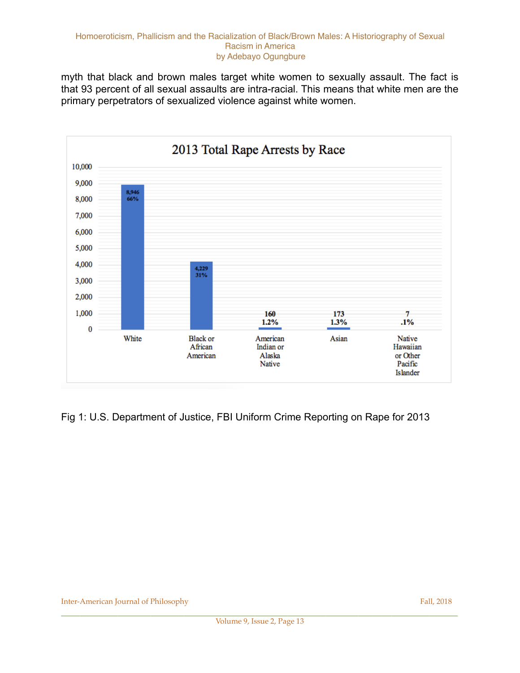myth that black and brown males target white women to sexually assault. The fact is that 93 percent of all sexual assaults are intra-racial. This means that white men are the primary perpetrators of sexualized violence against white women.



Fig 1: U.S. Department of Justice, FBI Uniform Crime Reporting on Rape for 2013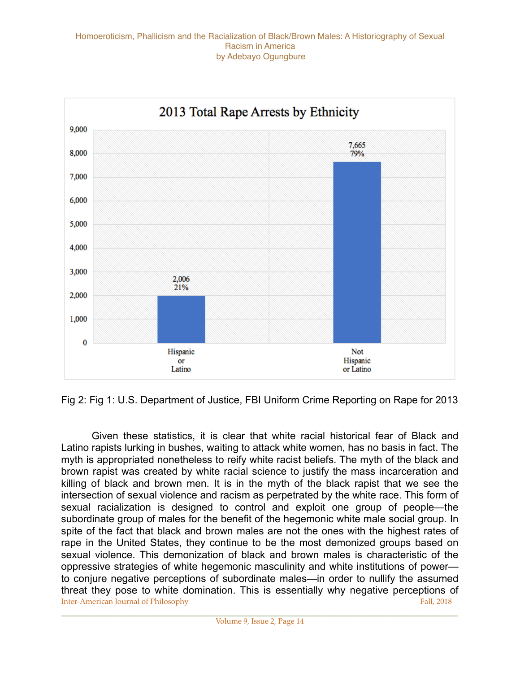

Fig 2: Fig 1: U.S. Department of Justice, FBI Uniform Crime Reporting on Rape for 2013

 Given these statistics, it is clear that white racial historical fear of Black and Latino rapists lurking in bushes, waiting to attack white women, has no basis in fact. The myth is appropriated nonetheless to reify white racist beliefs. The myth of the black and brown rapist was created by white racial science to justify the mass incarceration and killing of black and brown men. It is in the myth of the black rapist that we see the intersection of sexual violence and racism as perpetrated by the white race. This form of sexual racialization is designed to control and exploit one group of people—the subordinate group of males for the benefit of the hegemonic white male social group. In spite of the fact that black and brown males are not the ones with the highest rates of rape in the United States, they continue to be the most demonized groups based on sexual violence. This demonization of black and brown males is characteristic of the oppressive strategies of white hegemonic masculinity and white institutions of power to conjure negative perceptions of subordinate males—in order to nullify the assumed threat they pose to white domination. This is essentially why negative perceptions of **Inter-American Journal of Philosophy Fall, 2018** Fall, 2018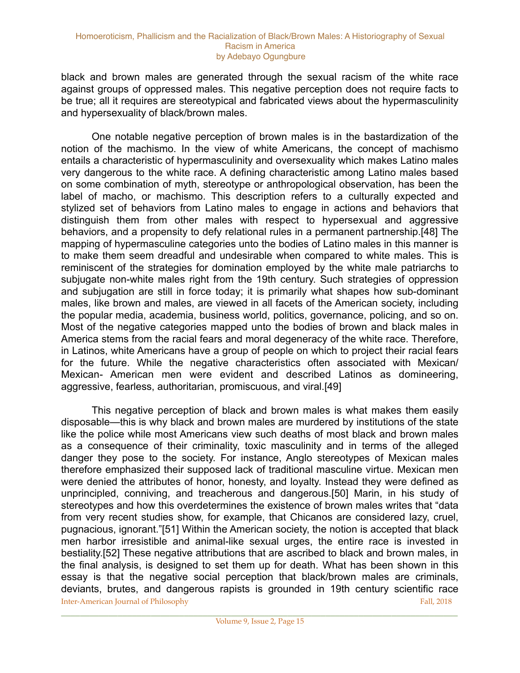black and brown males are generated through the sexual racism of the white race against groups of oppressed males. This negative perception does not require facts to be true; all it requires are stereotypical and fabricated views about the hypermasculinity and hypersexuality of black/brown males.

 One notable negative perception of brown males is in the bastardization of the notion of the machismo. In the view of white Americans, the concept of machismo entails a characteristic of hypermasculinity and oversexuality which makes Latino males very dangerous to the white race. A defining characteristic among Latino males based on some combination of myth, stereotype or anthropological observation, has been the label of macho, or machismo. This description refers to a culturally expected and stylized set of behaviors from Latino males to engage in actions and behaviors that distinguish them from other males with respect to hypersexual and aggressive behaviors, and a propensity to defy relational rules in a permanent partnership.[48] The mapping of hypermasculine categories unto the bodies of Latino males in this manner is to make them seem dreadful and undesirable when compared to white males. This is reminiscent of the strategies for domination employed by the white male patriarchs to subjugate non-white males right from the 19th century. Such strategies of oppression and subjugation are still in force today; it is primarily what shapes how sub-dominant males, like brown and males, are viewed in all facets of the American society, including the popular media, academia, business world, politics, governance, policing, and so on. Most of the negative categories mapped unto the bodies of brown and black males in America stems from the racial fears and moral degeneracy of the white race. Therefore, in Latinos, white Americans have a group of people on which to project their racial fears for the future. While the negative characteristics often associated with Mexican/ Mexican- American men were evident and described Latinos as domineering, aggressive, fearless, authoritarian, promiscuous, and viral.[49]

 This negative perception of black and brown males is what makes them easily disposable—this is why black and brown males are murdered by institutions of the state like the police while most Americans view such deaths of most black and brown males as a consequence of their criminality, toxic masculinity and in terms of the alleged danger they pose to the society. For instance, Anglo stereotypes of Mexican males therefore emphasized their supposed lack of traditional masculine virtue. Mexican men were denied the attributes of honor, honesty, and loyalty. Instead they were defined as unprincipled, conniving, and treacherous and dangerous.[50] Marin, in his study of stereotypes and how this overdetermines the existence of brown males writes that "data from very recent studies show, for example, that Chicanos are considered lazy, cruel, pugnacious, ignorant."[51] Within the American society, the notion is accepted that black men harbor irresistible and animal-like sexual urges, the entire race is invested in bestiality.[52] These negative attributions that are ascribed to black and brown males, in the final analysis, is designed to set them up for death. What has been shown in this essay is that the negative social perception that black/brown males are criminals, deviants, brutes, and dangerous rapists is grounded in 19th century scientific race **Inter-American Journal of Philosophy Fall, 2018** Fall, 2018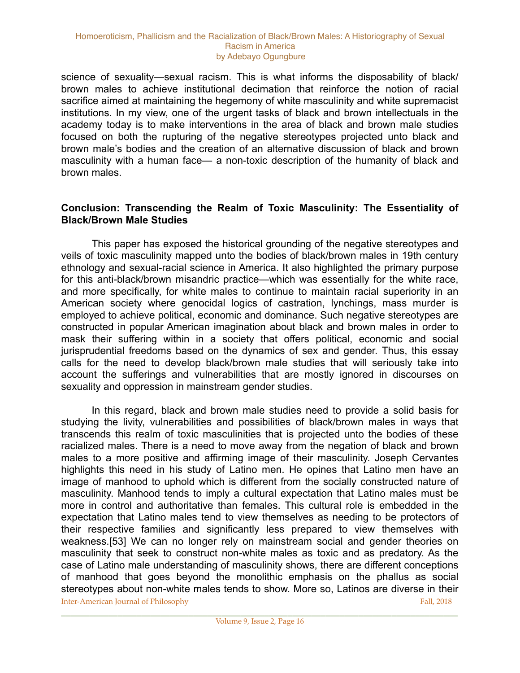science of sexuality—sexual racism. This is what informs the disposability of black/ brown males to achieve institutional decimation that reinforce the notion of racial sacrifice aimed at maintaining the hegemony of white masculinity and white supremacist institutions. In my view, one of the urgent tasks of black and brown intellectuals in the academy today is to make interventions in the area of black and brown male studies focused on both the rupturing of the negative stereotypes projected unto black and brown male's bodies and the creation of an alternative discussion of black and brown masculinity with a human face— a non-toxic description of the humanity of black and brown males.

### **Conclusion: Transcending the Realm of Toxic Masculinity: The Essentiality of Black/Brown Male Studies**

 This paper has exposed the historical grounding of the negative stereotypes and veils of toxic masculinity mapped unto the bodies of black/brown males in 19th century ethnology and sexual-racial science in America. It also highlighted the primary purpose for this anti-black/brown misandric practice—which was essentially for the white race, and more specifically, for white males to continue to maintain racial superiority in an American society where genocidal logics of castration, lynchings, mass murder is employed to achieve political, economic and dominance. Such negative stereotypes are constructed in popular American imagination about black and brown males in order to mask their suffering within in a society that offers political, economic and social jurisprudential freedoms based on the dynamics of sex and gender. Thus, this essay calls for the need to develop black/brown male studies that will seriously take into account the sufferings and vulnerabilities that are mostly ignored in discourses on sexuality and oppression in mainstream gender studies.

 In this regard, black and brown male studies need to provide a solid basis for studying the livity, vulnerabilities and possibilities of black/brown males in ways that transcends this realm of toxic masculinities that is projected unto the bodies of these racialized males. There is a need to move away from the negation of black and brown males to a more positive and affirming image of their masculinity. Joseph Cervantes highlights this need in his study of Latino men. He opines that Latino men have an image of manhood to uphold which is different from the socially constructed nature of masculinity. Manhood tends to imply a cultural expectation that Latino males must be more in control and authoritative than females. This cultural role is embedded in the expectation that Latino males tend to view themselves as needing to be protectors of their respective families and significantly less prepared to view themselves with weakness.[53] We can no longer rely on mainstream social and gender theories on masculinity that seek to construct non-white males as toxic and as predatory. As the case of Latino male understanding of masculinity shows, there are different conceptions of manhood that goes beyond the monolithic emphasis on the phallus as social stereotypes about non-white males tends to show. More so, Latinos are diverse in their **Inter-American Journal of Philosophy** Fall, 2018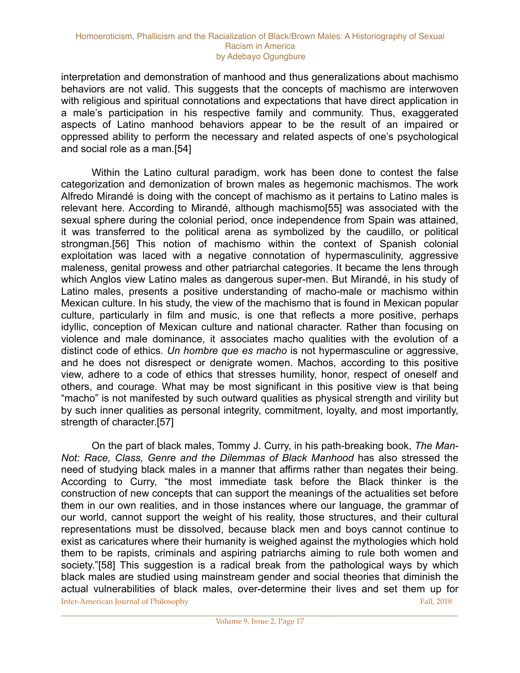interpretation and demonstration of manhood and thus generalizations about machismo behaviors are not valid. This suggests that the concepts of machismo are interwoven with religious and spiritual connotations and expectations that have direct application in a male's participation in his respective family and community. Thus, exaggerated aspects of Latino manhood behaviors appear to be the result of an impaired or oppressed ability to perform the necessary and related aspects of one's psychological and social role as a man.[54]

 Within the Latino cultural paradigm, work has been done to contest the false categorization and demonization of brown males as hegemonic machismos. The work Alfredo Mirandé is doing with the concept of machismo as it pertains to Latino males is relevant here. According to Mirandé, although machismo[55] was associated with the sexual sphere during the colonial period, once independence from Spain was attained, it was transferred to the political arena as symbolized by the caudillo, or political strongman.[56] This notion of machismo within the context of Spanish colonial exploitation was laced with a negative connotation of hypermasculinity, aggressive maleness, genital prowess and other patriarchal categories. It became the lens through which Anglos view Latino males as dangerous super-men. But Mirandé, in his study of Latino males, presents a positive understanding of macho-male or machismo within Mexican culture. In his study, the view of the machismo that is found in Mexican popular culture, particularly in film and music, is one that reflects a more positive, perhaps idyllic, conception of Mexican culture and national character. Rather than focusing on violence and male dominance, it associates macho qualities with the evolution of a distinct code of ethics. *Un hombre que es macho* is not hypermasculine or aggressive, and he does not disrespect or denigrate women. Machos, according to this positive view, adhere to a code of ethics that stresses humility, honor, respect of oneself and others, and courage. What may be most significant in this positive view is that being "macho" is not manifested by such outward qualities as physical strength and virility but by such inner qualities as personal integrity, commitment, loyalty, and most importantly, strength of character.[57]

 On the part of black males, Tommy J. Curry, in his path-breaking book, *The Man-Not: Race, Class, Genre and the Dilemmas of Black Manhood* has also stressed the need of studying black males in a manner that affirms rather than negates their being. According to Curry, "the most immediate task before the Black thinker is the construction of new concepts that can support the meanings of the actualities set before them in our own realities, and in those instances where our language, the grammar of our world, cannot support the weight of his reality, those structures, and their cultural representations must be dissolved, because black men and boys cannot continue to exist as caricatures where their humanity is weighed against the mythologies which hold them to be rapists, criminals and aspiring patriarchs aiming to rule both women and society."[58] This suggestion is a radical break from the pathological ways by which black males are studied using mainstream gender and social theories that diminish the actual vulnerabilities of black males, over-determine their lives and set them up for **Inter-American Journal of Philosophy** Fall, 2018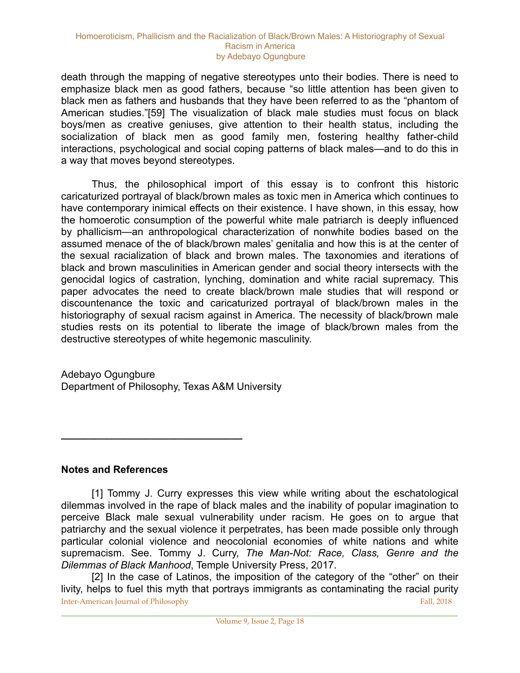death through the mapping of negative stereotypes unto their bodies. There is need to emphasize black men as good fathers, because "so little attention has been given to black men as fathers and husbands that they have been referred to as the "phantom of American studies."[59] The visualization of black male studies must focus on black boys/men as creative geniuses, give attention to their health status, including the socialization of black men as good family men, fostering healthy father-child interactions, psychological and social coping patterns of black males—and to do this in a way that moves beyond stereotypes.

 Thus, the philosophical import of this essay is to confront this historic caricaturized portrayal of black/brown males as toxic men in America which continues to have contemporary inimical effects on their existence. I have shown, in this essay, how the homoerotic consumption of the powerful white male patriarch is deeply influenced by phallicism—an anthropological characterization of nonwhite bodies based on the assumed menace of the of black/brown males' genitalia and how this is at the center of the sexual racialization of black and brown males. The taxonomies and iterations of black and brown masculinities in American gender and social theory intersects with the genocidal logics of castration, lynching, domination and white racial supremacy. This paper advocates the need to create black/brown male studies that will respond or discountenance the toxic and caricaturized portrayal of black/brown males in the historiography of sexual racism against in America. The necessity of black/brown male studies rests on its potential to liberate the image of black/brown males from the destructive stereotypes of white hegemonic masculinity.

Adebayo Ogungbure Department of Philosophy, Texas A&M University

**\_\_\_\_\_\_\_\_\_\_\_\_\_\_\_\_\_\_\_\_\_\_\_\_\_\_\_\_\_\_\_\_** 

**Notes and References** 

 [1] Tommy J. Curry expresses this view while writing about the eschatological dilemmas involved in the rape of black males and the inability of popular imagination to perceive Black male sexual vulnerability under racism. He goes on to argue that patriarchy and the sexual violence it perpetrates, has been made possible only through particular colonial violence and neocolonial economies of white nations and white supremacism. See. Tommy J. Curry, *The Man-Not: Race, Class, Genre and the Dilemmas of Black Manhood*, Temple University Press, 2017.

[2] In the case of Latinos, the imposition of the category of the "other" on their livity, helps to fuel this myth that portrays immigrants as contaminating the racial purity **Inter-American Journal of Philosophy** Fall, 2018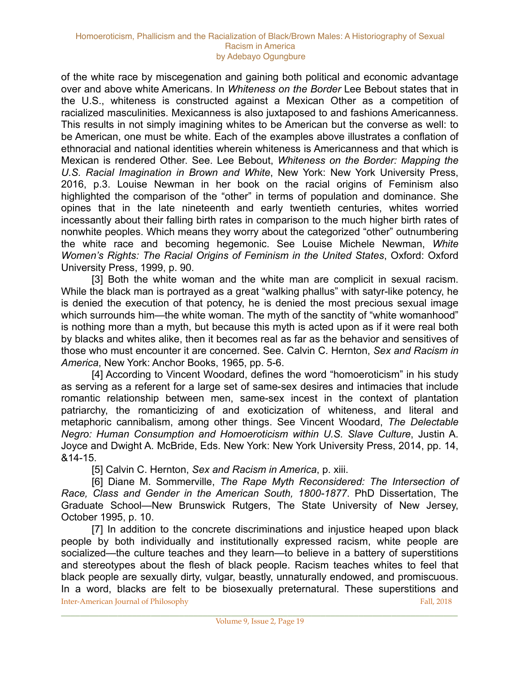of the white race by miscegenation and gaining both political and economic advantage over and above white Americans. In *Whiteness on the Border* Lee Bebout states that in the U.S., whiteness is constructed against a Mexican Other as a competition of racialized masculinities. Mexicanness is also juxtaposed to and fashions Americanness. This results in not simply imagining whites to be American but the converse as well: to be American, one must be white. Each of the examples above illustrates a conflation of ethnoracial and national identities wherein whiteness is Americanness and that which is Mexican is rendered Other. See. Lee Bebout, *Whiteness on the Border: Mapping the U.S. Racial Imagination in Brown and White*, New York: New York University Press, 2016, p.3. Louise Newman in her book on the racial origins of Feminism also highlighted the comparison of the "other" in terms of population and dominance. She opines that in the late nineteenth and early twentieth centuries, whites worried incessantly about their falling birth rates in comparison to the much higher birth rates of nonwhite peoples. Which means they worry about the categorized "other" outnumbering the white race and becoming hegemonic. See Louise Michele Newman, *White Women's Rights: The Racial Origins of Feminism in the United States*, Oxford: Oxford University Press, 1999, p. 90.

[3] Both the white woman and the white man are complicit in sexual racism. While the black man is portrayed as a great "walking phallus" with satyr-like potency, he is denied the execution of that potency, he is denied the most precious sexual image which surrounds him—the white woman. The myth of the sanctity of "white womanhood" is nothing more than a myth, but because this myth is acted upon as if it were real both by blacks and whites alike, then it becomes real as far as the behavior and sensitives of those who must encounter it are concerned. See. Calvin C. Hernton, *Sex and Racism in America*, New York: Anchor Books, 1965, pp. 5-6.

 [4] According to Vincent Woodard, defines the word "homoeroticism" in his study as serving as a referent for a large set of same-sex desires and intimacies that include romantic relationship between men, same-sex incest in the context of plantation patriarchy, the romanticizing of and exoticization of whiteness, and literal and metaphoric cannibalism, among other things. See Vincent Woodard, *The Delectable Negro: Human Consumption and Homoeroticism within U.S. Slave Culture*, Justin A. Joyce and Dwight A. McBride, Eds. New York: New York University Press, 2014, pp. 14, &14-15.

[5] Calvin C. Hernton, *Sex and Racism in America*, p. xiii.

 [6] Diane M. Sommerville, *The Rape Myth Reconsidered: The Intersection of Race, Class and Gender in the American South, 1800-1877*. PhD Dissertation, The Graduate School—New Brunswick Rutgers, The State University of New Jersey, October 1995, p. 10.

 [7] In addition to the concrete discriminations and injustice heaped upon black people by both individually and institutionally expressed racism, white people are socialized—the culture teaches and they learn—to believe in a battery of superstitions and stereotypes about the flesh of black people. Racism teaches whites to feel that black people are sexually dirty, vulgar, beastly, unnaturally endowed, and promiscuous. In a word, blacks are felt to be biosexually preternatural. These superstitions and **Inter-American Journal of Philosophy** Fall, 2018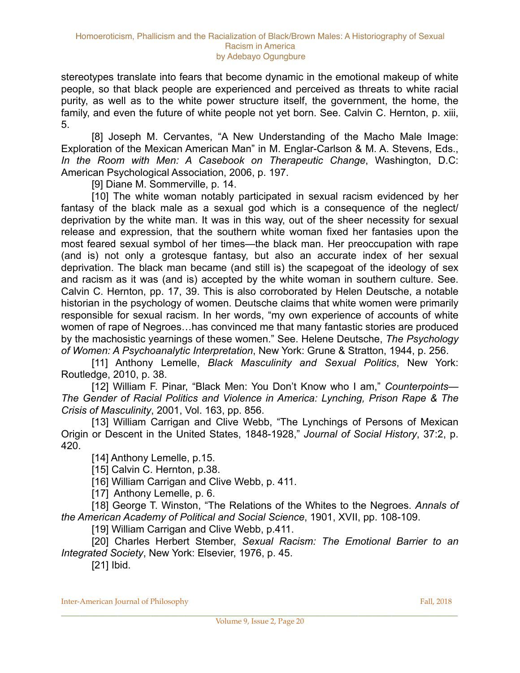stereotypes translate into fears that become dynamic in the emotional makeup of white people, so that black people are experienced and perceived as threats to white racial purity, as well as to the white power structure itself, the government, the home, the family, and even the future of white people not yet born. See. Calvin C. Hernton, p. xiii, 5.

 [8] Joseph M. Cervantes, "A New Understanding of the Macho Male Image: Exploration of the Mexican American Man" in M. Englar-Carlson & M. A. Stevens, Eds., *In the Room with Men: A Casebook on Therapeutic Change*, Washington, D.C: American Psychological Association, 2006, p. 197.

[9] Diane M. Sommerville, p. 14.

[10] The white woman notably participated in sexual racism evidenced by her fantasy of the black male as a sexual god which is a consequence of the neglect/ deprivation by the white man. It was in this way, out of the sheer necessity for sexual release and expression, that the southern white woman fixed her fantasies upon the most feared sexual symbol of her times—the black man. Her preoccupation with rape (and is) not only a grotesque fantasy, but also an accurate index of her sexual deprivation. The black man became (and still is) the scapegoat of the ideology of sex and racism as it was (and is) accepted by the white woman in southern culture. See. Calvin C. Hernton, pp. 17, 39. This is also corroborated by Helen Deutsche, a notable historian in the psychology of women. Deutsche claims that white women were primarily responsible for sexual racism. In her words, "my own experience of accounts of white women of rape of Negroes…has convinced me that many fantastic stories are produced by the machosistic yearnings of these women." See. Helene Deutsche, *The Psychology of Women: A Psychoanalytic Interpretation*, New York: Grune & Stratton, 1944, p. 256.

 [11] Anthony Lemelle, *Black Masculinity and Sexual Politics*, New York: Routledge, 2010, p. 38.

 [12] William F. Pinar, "Black Men: You Don't Know who I am," *Counterpoints— The Gender of Racial Politics and Violence in America: Lynching, Prison Rape & The Crisis of Masculinity*, 2001, Vol. 163, pp. 856.

[13] William Carrigan and Clive Webb, "The Lynchings of Persons of Mexican Origin or Descent in the United States, 1848-1928," *Journal of Social History*, 37:2, p. 420.

[14] Anthony Lemelle, p.15.

[15] Calvin C. Hernton, p.38.

[16] William Carrigan and Clive Webb, p. 411.

[17] Anthony Lemelle, p. 6.

 [18] George T. Winston, "The Relations of the Whites to the Negroes. *Annals of the American Academy of Political and Social Science*, 1901, XVII, pp. 108-109.

[19] William Carrigan and Clive Webb, p.411.

 [20] Charles Herbert Stember, *Sexual Racism: The Emotional Barrier to an Integrated Society*, New York: Elsevier, 1976, p. 45.

[21] Ibid.

Inter-American Journal of Philosophy Fall, 2018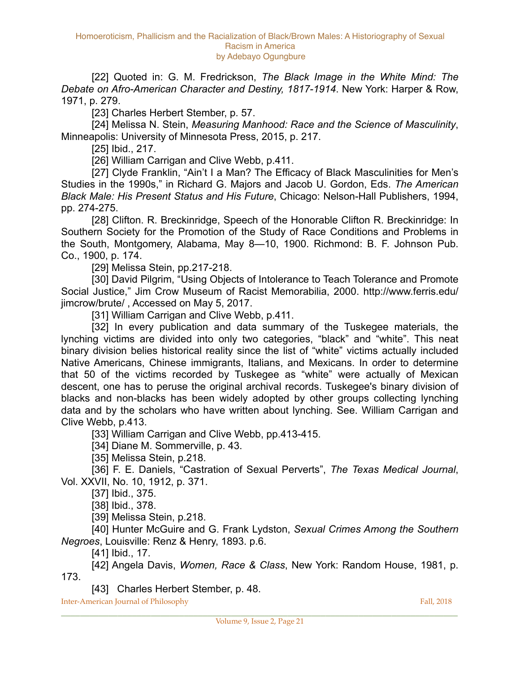[22] Quoted in: G. M. Fredrickson, *The Black Image in the White Mind: The Debate on Afro-American Character and Destiny, 1817-1914*. New York: Harper & Row, 1971, p. 279.

[23] Charles Herbert Stember, p. 57.

 [24] Melissa N. Stein, *Measuring Manhood: Race and the Science of Masculinity*, Minneapolis: University of Minnesota Press, 2015, p. 217.

[25] Ibid., 217.

[26] William Carrigan and Clive Webb, p.411.

 [27] Clyde Franklin, "Ain't I a Man? The Efficacy of Black Masculinities for Men's Studies in the 1990s," in Richard G. Majors and Jacob U. Gordon, Eds. *The American Black Male: His Present Status and His Future*, Chicago: Nelson-Hall Publishers, 1994, pp. 274-275.

[28] Clifton. R. Breckinridge, Speech of the Honorable Clifton R. Breckinridge: In Southern Society for the Promotion of the Study of Race Conditions and Problems in the South, Montgomery, Alabama, May 8—10, 1900. Richmond: B. F. Johnson Pub. Co., 1900, p. 174.

[29] Melissa Stein, pp.217-218.

[30] David Pilgrim, "Using Objects of Intolerance to Teach Tolerance and Promote Social Justice," Jim Crow Museum of Racist Memorabilia, 2000. http://www.ferris.edu/ jimcrow/brute/ , Accessed on May 5, 2017.

[31] William Carrigan and Clive Webb, p.411.

 [32] In every publication and data summary of the Tuskegee materials, the lynching victims are divided into only two categories, "black" and "white". This neat binary division belies historical reality since the list of "white" victims actually included Native Americans, Chinese immigrants, Italians, and Mexicans. In order to determine that 50 of the victims recorded by Tuskegee as "white" were actually of Mexican descent, one has to peruse the original archival records. Tuskegee's binary division of blacks and non-blacks has been widely adopted by other groups collecting lynching data and by the scholars who have written about lynching. See. William Carrigan and Clive Webb, p.413.

[33] William Carrigan and Clive Webb, pp.413-415.

[34] Diane M. Sommerville, p. 43.

[35] Melissa Stein, p.218.

 [36] F. E. Daniels, "Castration of Sexual Perverts", *The Texas Medical Journal*, Vol. XXVII, No. 10, 1912, p. 371.

[37] Ibid., 375.

[38] Ibid., 378.

[39] Melissa Stein, p.218.

 [40] Hunter McGuire and G. Frank Lydston, *Sexual Crimes Among the Southern Negroes*, Louisville: Renz & Henry, 1893. p.6.

[41] Ibid., 17.

 [42] Angela Davis, *Women, Race & Class*, New York: Random House, 1981, p. 173.

[43] Charles Herbert Stember, p. 48.

**Inter-American Journal of Philosophy** Fall, 2018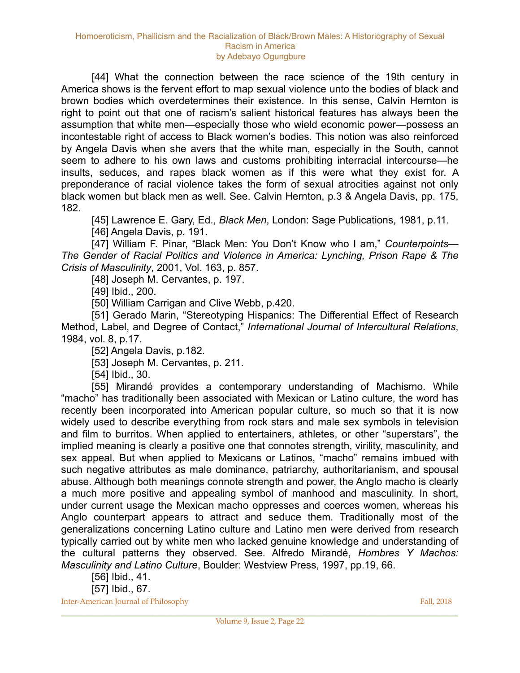[44] What the connection between the race science of the 19th century in America shows is the fervent effort to map sexual violence unto the bodies of black and brown bodies which overdetermines their existence. In this sense, Calvin Hernton is right to point out that one of racism's salient historical features has always been the assumption that white men—especially those who wield economic power—possess an incontestable right of access to Black women's bodies. This notion was also reinforced by Angela Davis when she avers that the white man, especially in the South, cannot seem to adhere to his own laws and customs prohibiting interracial intercourse—he insults, seduces, and rapes black women as if this were what they exist for. A preponderance of racial violence takes the form of sexual atrocities against not only black women but black men as well. See. Calvin Hernton, p.3 & Angela Davis, pp. 175, 182.

 [45] Lawrence E. Gary, Ed., *Black Men*, London: Sage Publications, 1981, p.11. [46] Angela Davis, p. 191.

 [47] William F. Pinar, "Black Men: You Don't Know who I am," *Counterpoints— The Gender of Racial Politics and Violence in America: Lynching, Prison Rape & The Crisis of Masculinity*, 2001, Vol. 163, p. 857.

[48] Joseph M. Cervantes, p. 197.

[49] Ibid., 200.

[50] William Carrigan and Clive Webb, p.420.

[51] Gerado Marin, "Stereotyping Hispanics: The Differential Effect of Research Method, Label, and Degree of Contact," *International Journal of Intercultural Relations*, 1984, vol. 8, p.17.

[52] Angela Davis, p.182.

[53] Joseph M. Cervantes, p. 211.

[54] Ibid., 30.

[55] Mirandé provides a contemporary understanding of Machismo. While "macho" has traditionally been associated with Mexican or Latino culture, the word has recently been incorporated into American popular culture, so much so that it is now widely used to describe everything from rock stars and male sex symbols in television and film to burritos. When applied to entertainers, athletes, or other "superstars", the implied meaning is clearly a positive one that connotes strength, virility, masculinity, and sex appeal. But when applied to Mexicans or Latinos, "macho" remains imbued with such negative attributes as male dominance, patriarchy, authoritarianism, and spousal abuse. Although both meanings connote strength and power, the Anglo macho is clearly a much more positive and appealing symbol of manhood and masculinity. In short, under current usage the Mexican macho oppresses and coerces women, whereas his Anglo counterpart appears to attract and seduce them. Traditionally most of the generalizations concerning Latino culture and Latino men were derived from research typically carried out by white men who lacked genuine knowledge and understanding of the cultural patterns they observed. See. Alfredo Mirandé, *Hombres Y Machos: Masculinity and Latino Culture*, Boulder: Westview Press, 1997, pp.19, 66.

 [56] Ibid., 41. [57] Ibid., 67.

**Inter-American Journal of Philosophy Fall, 2018** Fall, 2018